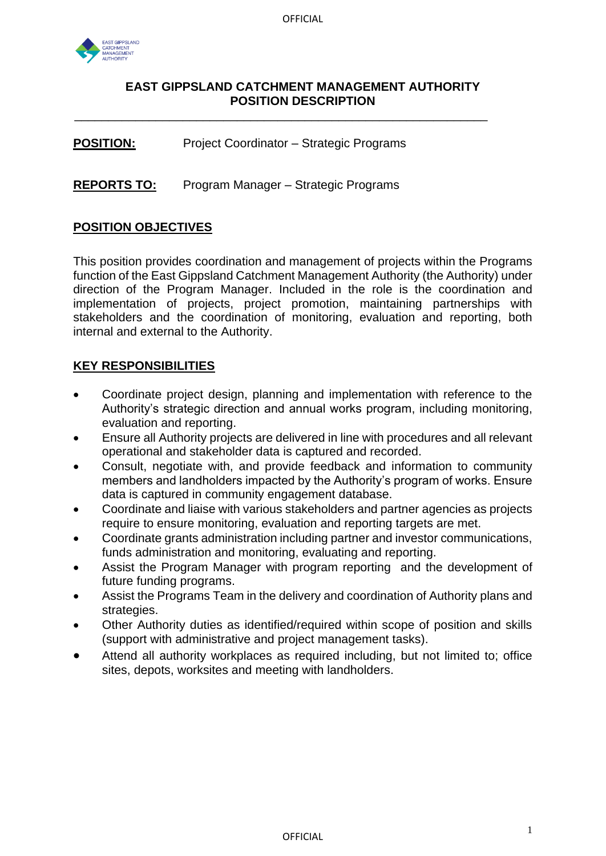

\_\_\_\_\_\_\_\_\_\_\_\_\_\_\_\_\_\_\_\_\_\_\_\_\_\_\_\_\_\_\_\_\_\_\_\_\_\_\_\_\_\_\_\_\_\_\_\_\_\_\_\_\_\_\_\_\_\_\_\_\_

**POSITION:** Project Coordinator – Strategic Programs

**REPORTS TO:** Program Manager – Strategic Programs

### **POSITION OBJECTIVES**

This position provides coordination and management of projects within the Programs function of the East Gippsland Catchment Management Authority (the Authority) under direction of the Program Manager. Included in the role is the coordination and implementation of projects, project promotion, maintaining partnerships with stakeholders and the coordination of monitoring, evaluation and reporting, both internal and external to the Authority.

## **KEY RESPONSIBILITIES**

- Coordinate project design, planning and implementation with reference to the Authority's strategic direction and annual works program, including monitoring, evaluation and reporting.
- Ensure all Authority projects are delivered in line with procedures and all relevant operational and stakeholder data is captured and recorded.
- Consult, negotiate with, and provide feedback and information to community members and landholders impacted by the Authority's program of works. Ensure data is captured in community engagement database.
- Coordinate and liaise with various stakeholders and partner agencies as projects require to ensure monitoring, evaluation and reporting targets are met.
- Coordinate grants administration including partner and investor communications, funds administration and monitoring, evaluating and reporting.
- Assist the Program Manager with program reporting and the development of future funding programs.
- Assist the Programs Team in the delivery and coordination of Authority plans and strategies.
- Other Authority duties as identified/required within scope of position and skills (support with administrative and project management tasks).
- Attend all authority workplaces as required including, but not limited to; office sites, depots, worksites and meeting with landholders.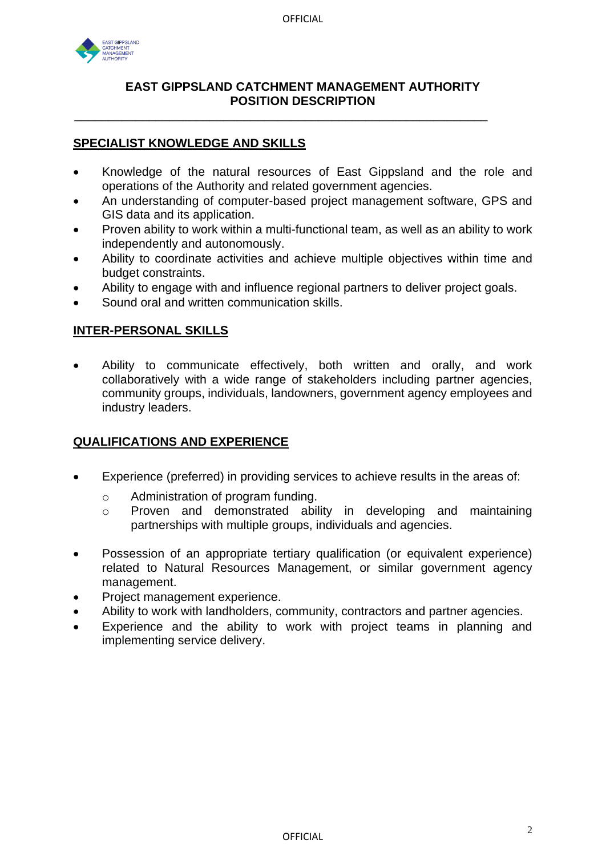

\_\_\_\_\_\_\_\_\_\_\_\_\_\_\_\_\_\_\_\_\_\_\_\_\_\_\_\_\_\_\_\_\_\_\_\_\_\_\_\_\_\_\_\_\_\_\_\_\_\_\_\_\_\_\_\_\_\_\_\_\_

## **SPECIALIST KNOWLEDGE AND SKILLS**

- Knowledge of the natural resources of East Gippsland and the role and operations of the Authority and related government agencies.
- An understanding of computer-based project management software, GPS and GIS data and its application.
- Proven ability to work within a multi-functional team, as well as an ability to work independently and autonomously.
- Ability to coordinate activities and achieve multiple objectives within time and budget constraints.
- Ability to engage with and influence regional partners to deliver project goals.
- Sound oral and written communication skills.

# **INTER-PERSONAL SKILLS**

• Ability to communicate effectively, both written and orally, and work collaboratively with a wide range of stakeholders including partner agencies, community groups, individuals, landowners, government agency employees and industry leaders.

### **QUALIFICATIONS AND EXPERIENCE**

- Experience (preferred) in providing services to achieve results in the areas of:
	- o Administration of program funding.
	- o Proven and demonstrated ability in developing and maintaining partnerships with multiple groups, individuals and agencies.
- Possession of an appropriate tertiary qualification (or equivalent experience) related to Natural Resources Management, or similar government agency management.
- Project management experience.
- Ability to work with landholders, community, contractors and partner agencies.
- Experience and the ability to work with project teams in planning and implementing service delivery.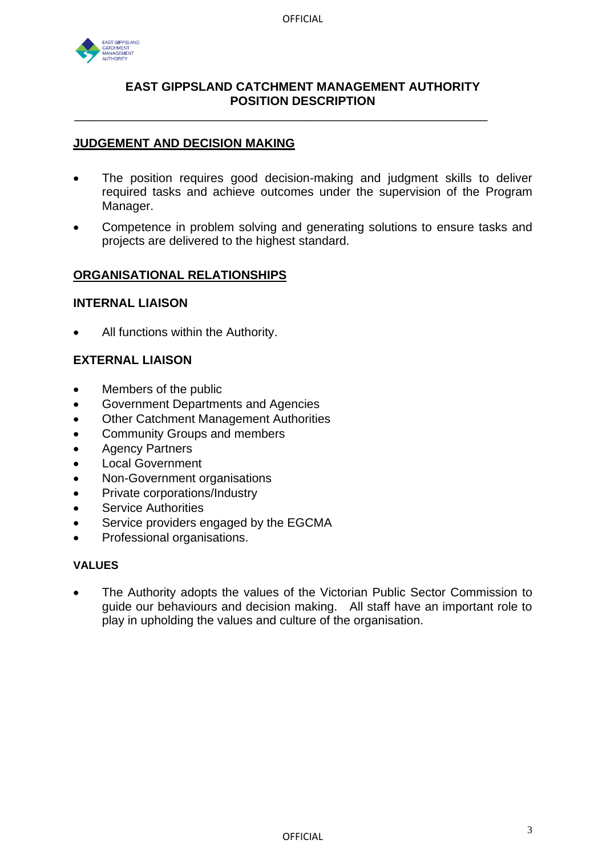

\_\_\_\_\_\_\_\_\_\_\_\_\_\_\_\_\_\_\_\_\_\_\_\_\_\_\_\_\_\_\_\_\_\_\_\_\_\_\_\_\_\_\_\_\_\_\_\_\_\_\_\_\_\_\_\_\_\_\_\_\_

## **JUDGEMENT AND DECISION MAKING**

- The position requires good decision-making and judgment skills to deliver required tasks and achieve outcomes under the supervision of the Program Manager.
- Competence in problem solving and generating solutions to ensure tasks and projects are delivered to the highest standard.

### **ORGANISATIONAL RELATIONSHIPS**

### **INTERNAL LIAISON**

All functions within the Authority.

## **EXTERNAL LIAISON**

- Members of the public
- Government Departments and Agencies
- Other Catchment Management Authorities
- Community Groups and members
- Agency Partners
- Local Government
- Non-Government organisations
- Private corporations/Industry
- **Service Authorities**
- Service providers engaged by the EGCMA
- Professional organisations.

#### **VALUES**

• The Authority adopts the values of the Victorian Public Sector Commission to guide our behaviours and decision making. All staff have an important role to play in upholding the values and culture of the organisation.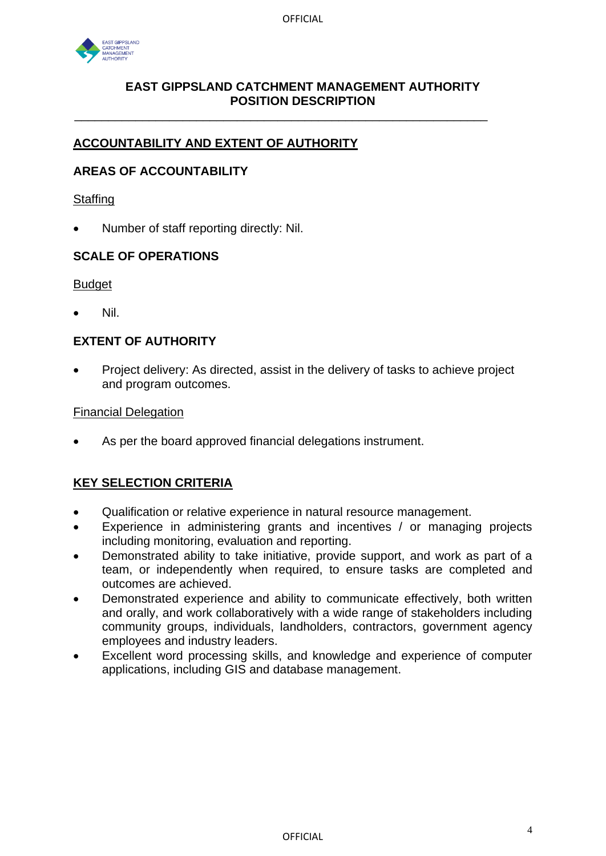

\_\_\_\_\_\_\_\_\_\_\_\_\_\_\_\_\_\_\_\_\_\_\_\_\_\_\_\_\_\_\_\_\_\_\_\_\_\_\_\_\_\_\_\_\_\_\_\_\_\_\_\_\_\_\_\_\_\_\_\_\_

# **ACCOUNTABILITY AND EXTENT OF AUTHORITY**

# **AREAS OF ACCOUNTABILITY**

#### **Staffing**

• Number of staff reporting directly: Nil.

## **SCALE OF OPERATIONS**

#### **Budget**

• Nil.

# **EXTENT OF AUTHORITY**

• Project delivery: As directed, assist in the delivery of tasks to achieve project and program outcomes.

#### Financial Delegation

As per the board approved financial delegations instrument.

# **KEY SELECTION CRITERIA**

- Qualification or relative experience in natural resource management.
- Experience in administering grants and incentives / or managing projects including monitoring, evaluation and reporting.
- Demonstrated ability to take initiative, provide support, and work as part of a team, or independently when required, to ensure tasks are completed and outcomes are achieved.
- Demonstrated experience and ability to communicate effectively, both written and orally, and work collaboratively with a wide range of stakeholders including community groups, individuals, landholders, contractors, government agency employees and industry leaders.
- Excellent word processing skills, and knowledge and experience of computer applications, including GIS and database management.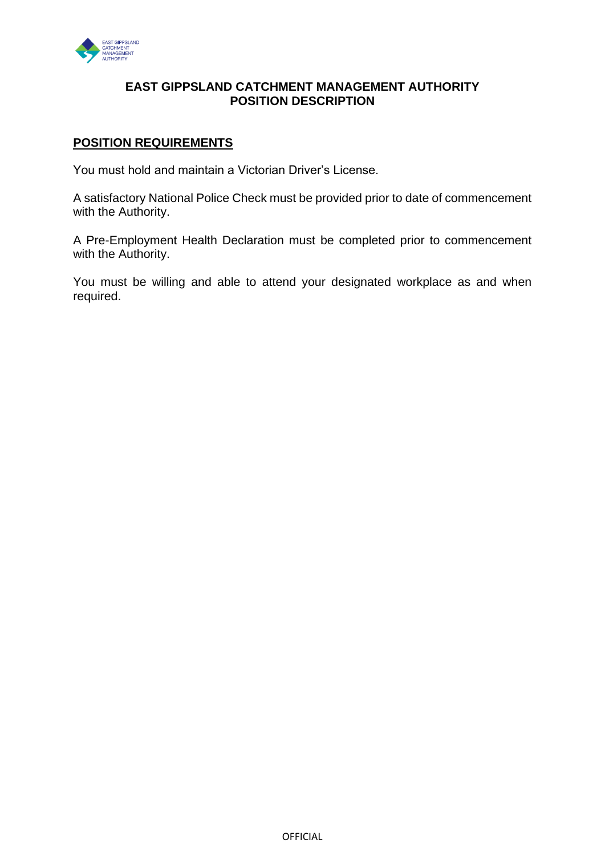

## **POSITION REQUIREMENTS**

You must hold and maintain a Victorian Driver's License.

A satisfactory National Police Check must be provided prior to date of commencement with the Authority.

A Pre-Employment Health Declaration must be completed prior to commencement with the Authority.

You must be willing and able to attend your designated workplace as and when required.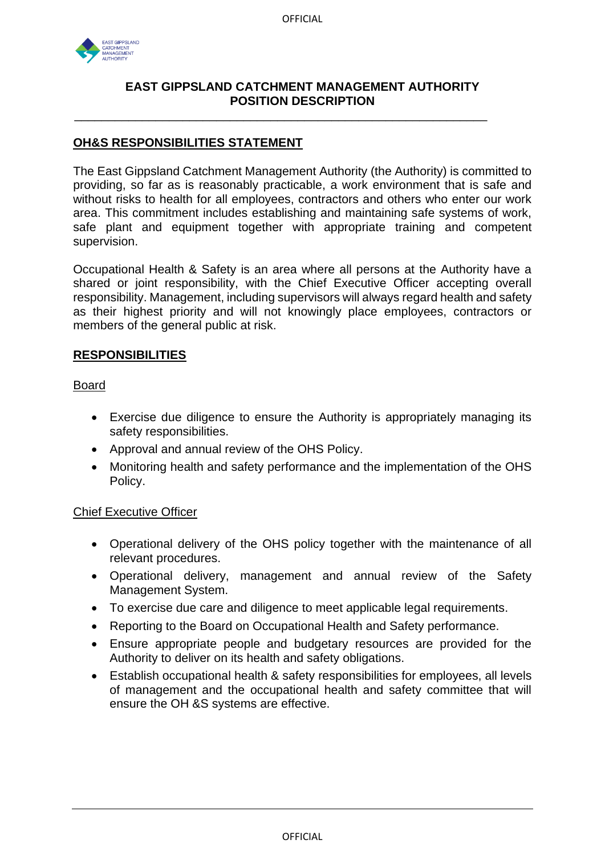

\_\_\_\_\_\_\_\_\_\_\_\_\_\_\_\_\_\_\_\_\_\_\_\_\_\_\_\_\_\_\_\_\_\_\_\_\_\_\_\_\_\_\_\_\_\_\_\_\_\_\_\_\_\_\_\_\_\_\_\_\_

## **OH&S RESPONSIBILITIES STATEMENT**

The East Gippsland Catchment Management Authority (the Authority) is committed to providing, so far as is reasonably practicable, a work environment that is safe and without risks to health for all employees, contractors and others who enter our work area. This commitment includes establishing and maintaining safe systems of work, safe plant and equipment together with appropriate training and competent supervision.

Occupational Health & Safety is an area where all persons at the Authority have a shared or joint responsibility, with the Chief Executive Officer accepting overall responsibility. Management, including supervisors will always regard health and safety as their highest priority and will not knowingly place employees, contractors or members of the general public at risk.

## **RESPONSIBILITIES**

Board

- Exercise due diligence to ensure the Authority is appropriately managing its safety responsibilities.
- Approval and annual review of the OHS Policy.
- Monitoring health and safety performance and the implementation of the OHS Policy.

### Chief Executive Officer

- Operational delivery of the OHS policy together with the maintenance of all relevant procedures.
- Operational delivery, management and annual review of the Safety Management System.
- To exercise due care and diligence to meet applicable legal requirements.
- Reporting to the Board on Occupational Health and Safety performance.
- Ensure appropriate people and budgetary resources are provided for the Authority to deliver on its health and safety obligations.
- Establish occupational health & safety responsibilities for employees, all levels of management and the occupational health and safety committee that will ensure the OH &S systems are effective.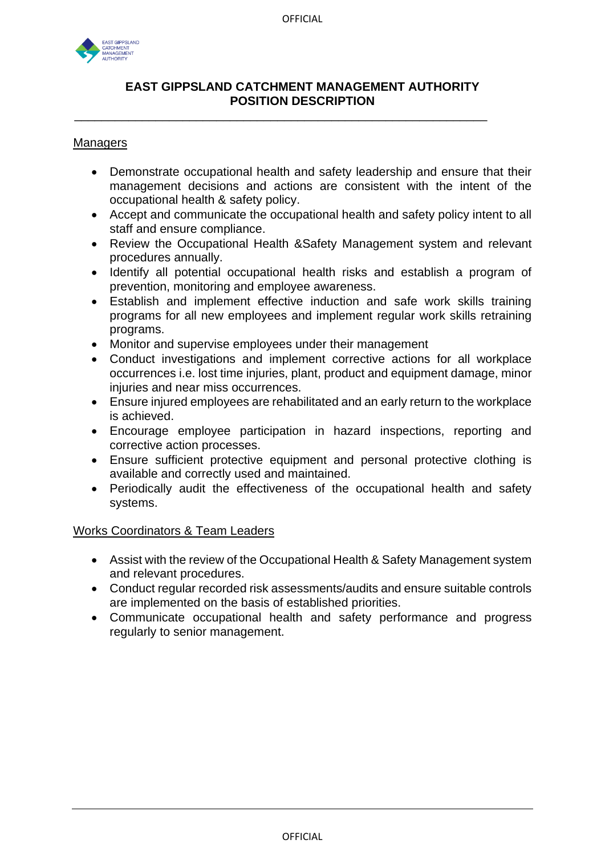

\_\_\_\_\_\_\_\_\_\_\_\_\_\_\_\_\_\_\_\_\_\_\_\_\_\_\_\_\_\_\_\_\_\_\_\_\_\_\_\_\_\_\_\_\_\_\_\_\_\_\_\_\_\_\_\_\_\_\_\_\_

#### **Managers**

- Demonstrate occupational health and safety leadership and ensure that their management decisions and actions are consistent with the intent of the occupational health & safety policy.
- Accept and communicate the occupational health and safety policy intent to all staff and ensure compliance.
- Review the Occupational Health &Safety Management system and relevant procedures annually.
- Identify all potential occupational health risks and establish a program of prevention, monitoring and employee awareness.
- Establish and implement effective induction and safe work skills training programs for all new employees and implement regular work skills retraining programs.
- Monitor and supervise employees under their management
- Conduct investigations and implement corrective actions for all workplace occurrences i.e. lost time injuries, plant, product and equipment damage, minor injuries and near miss occurrences.
- Ensure injured employees are rehabilitated and an early return to the workplace is achieved.
- Encourage employee participation in hazard inspections, reporting and corrective action processes.
- Ensure sufficient protective equipment and personal protective clothing is available and correctly used and maintained.
- Periodically audit the effectiveness of the occupational health and safety systems.

### Works Coordinators & Team Leaders

- Assist with the review of the Occupational Health & Safety Management system and relevant procedures.
- Conduct regular recorded risk assessments/audits and ensure suitable controls are implemented on the basis of established priorities.
- Communicate occupational health and safety performance and progress regularly to senior management.